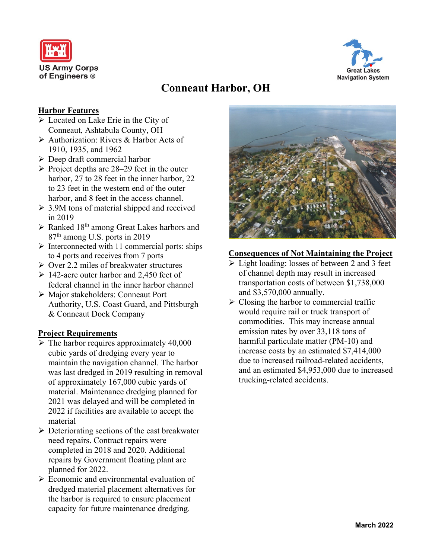



# **Conneaut Harbor, OH**

#### **Harbor Features**

- ➢ Located on Lake Erie in the City of Conneaut, Ashtabula County, OH
- ➢ Authorization: Rivers & Harbor Acts of 1910, 1935, and 1962
- ➢ Deep draft commercial harbor
- $\triangleright$  Project depths are 28–29 feet in the outer harbor, 27 to 28 feet in the inner harbor, 22 to 23 feet in the western end of the outer harbor, and 8 feet in the access channel.
- ➢ 3.9M tons of material shipped and received in 2019
- $\triangleright$  Ranked 18<sup>th</sup> among Great Lakes harbors and 87<sup>th</sup> among U.S. ports in 2019
- $\triangleright$  Interconnected with 11 commercial ports: ships to 4 ports and receives from 7 ports
- ➢ Over 2.2 miles of breakwater structures
- $\geq 142$ -acre outer harbor and 2,450 feet of federal channel in the inner harbor channel
- ➢ Major stakeholders: Conneaut Port Authority, U.S. Coast Guard, and Pittsburgh & Conneaut Dock Company

## **Project Requirements**

- $\triangleright$  The harbor requires approximately 40,000 cubic yards of dredging every year to maintain the navigation channel. The harbor was last dredged in 2019 resulting in removal of approximately 167,000 cubic yards of material. Maintenance dredging planned for 2021 was delayed and will be completed in 2022 if facilities are available to accept the material
- $\triangleright$  Deteriorating sections of the east breakwater need repairs. Contract repairs were completed in 2018 and 2020. Additional repairs by Government floating plant are planned for 2022.
- ➢ Economic and environmental evaluation of dredged material placement alternatives for the harbor is required to ensure placement capacity for future maintenance dredging.



#### **Consequences of Not Maintaining the Project**

- ➢ Light loading: losses of between 2 and 3 feet of channel depth may result in increased transportation costs of between \$1,738,000 and \$3,570,000 annually.
- $\triangleright$  Closing the harbor to commercial traffic would require rail or truck transport of commodities. This may increase annual emission rates by over 33,118 tons of harmful particulate matter (PM-10) and increase costs by an estimated \$7,414,000 due to increased railroad-related accidents, and an estimated \$4,953,000 due to increased trucking-related accidents.